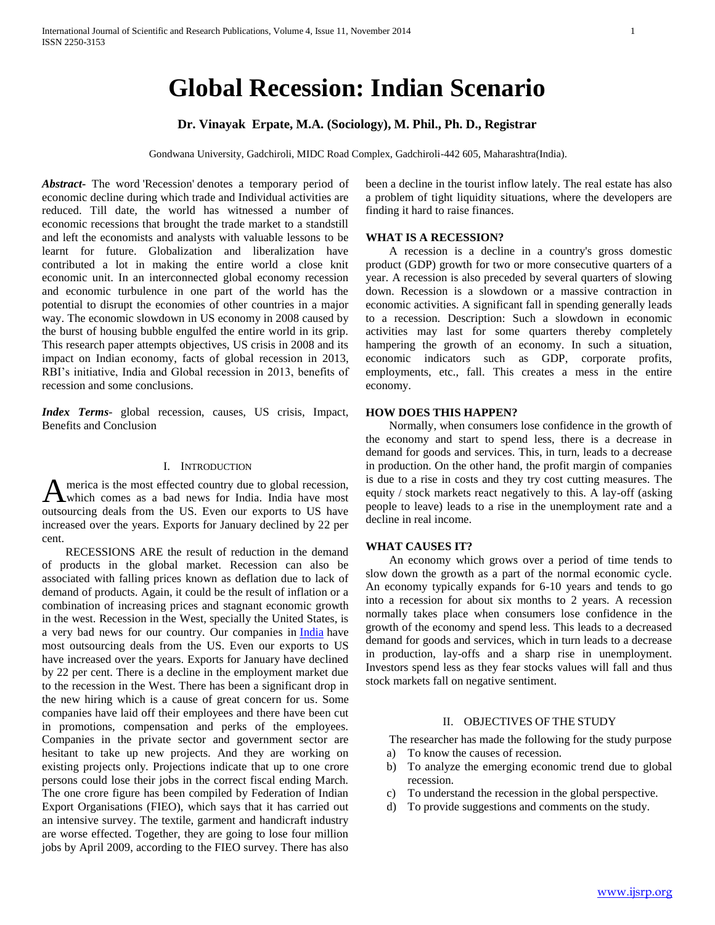# **Global Recession: Indian Scenario**

# **Dr. Vinayak Erpate, M.A. (Sociology), M. Phil., Ph. D., Registrar**

Gondwana University, Gadchiroli, MIDC Road Complex, Gadchiroli-442 605, Maharashtra(India).

*Abstract***-** The word 'Recession' denotes a temporary period of economic decline during which trade and Individual activities are reduced. Till date, the world has witnessed a number of economic recessions that brought the trade market to a standstill and left the economists and analysts with valuable lessons to be learnt for future. Globalization and liberalization have contributed a lot in making the entire world a close knit economic unit. In an interconnected global economy recession and economic turbulence in one part of the world has the potential to disrupt the economies of other countries in a major way. The economic slowdown in US economy in 2008 caused by the burst of housing bubble engulfed the entire world in its grip. This research paper attempts objectives, US crisis in 2008 and its impact on Indian economy, facts of global recession in 2013, RBI's initiative, India and Global recession in 2013, benefits of recession and some conclusions.

*Index Terms*- global recession, causes, US crisis, Impact, Benefits and Conclusion

## I. INTRODUCTION

merica is the most effected country due to global recession, which comes as a bad news for India. India have most A merica is the most effected country due to global recession,<br>which comes as a bad news for India. India have most<br>outsourcing deals from the US. Even our exports to US have increased over the years. Exports for January declined by 22 per cent.

 RECESSIONS ARE the result of reduction in the demand of products in the global market. Recession can also be associated with falling prices known as deflation due to lack of demand of products. Again, it could be the result of inflation or a combination of increasing prices and stagnant economic growth in the west. Recession in the West, specially the United States, is a very bad news for our country. Our companies in [India](http://indianews.merinews.com/) have most outsourcing deals from the US. Even our exports to US have increased over the years. Exports for January have declined by 22 per cent. There is a decline in the employment market due to the recession in the West. There has been a significant drop in the new hiring which is a cause of great concern for us. Some companies have laid off their employees and there have been cut in promotions, compensation and perks of the employees. Companies in the private sector and government sector are hesitant to take up new projects. And they are working on existing projects only. Projections indicate that up to one crore persons could lose their jobs in the correct fiscal ending March. The one crore figure has been compiled by Federation of Indian Export Organisations (FIEO), which says that it has carried out an intensive survey. The textile, garment and handicraft industry are worse effected. Together, they are going to lose four million jobs by April 2009, according to the FIEO survey. There has also

been a decline in the tourist inflow lately. The real estate has also a problem of tight liquidity situations, where the developers are finding it hard to raise finances.

## **WHAT IS A RECESSION?**

 A recession is a decline in a country's gross domestic product (GDP) growth for two or more consecutive quarters of a year. A recession is also preceded by several quarters of slowing down. Recession is a slowdown or a massive contraction in economic activities. A significant fall in spending generally leads to a recession. Description: Such a slowdown in economic activities may last for some quarters thereby completely hampering the growth of an economy. In such a situation, economic indicators such as GDP, corporate profits, employments, etc., fall. This creates a mess in the entire economy.

#### **HOW DOES THIS HAPPEN?**

 Normally, when consumers lose confidence in the growth of the economy and start to spend less, there is a decrease in demand for goods and services. This, in turn, leads to a decrease in production. On the other hand, the profit margin of companies is due to a rise in costs and they try cost cutting measures. The equity / stock markets react negatively to this. A lay-off (asking people to leave) leads to a rise in the unemployment rate and a decline in real income.

## **WHAT CAUSES IT?**

 An economy which grows over a period of time tends to slow down the growth as a part of the normal economic cycle. An economy typically expands for 6-10 years and tends to go into a recession for about six months to 2 years. A recession normally takes place when consumers lose confidence in the growth of the economy and spend less. This leads to a decreased demand for goods and services, which in turn leads to a decrease in production, lay-offs and a sharp rise in unemployment. Investors spend less as they fear stocks values will fall and thus stock markets fall on negative sentiment.

#### II. OBJECTIVES OF THE STUDY

The researcher has made the following for the study purpose

- a) To know the causes of recession.
- b) To analyze the emerging economic trend due to global recession.
- c) To understand the recession in the global perspective.
- d) To provide suggestions and comments on the study.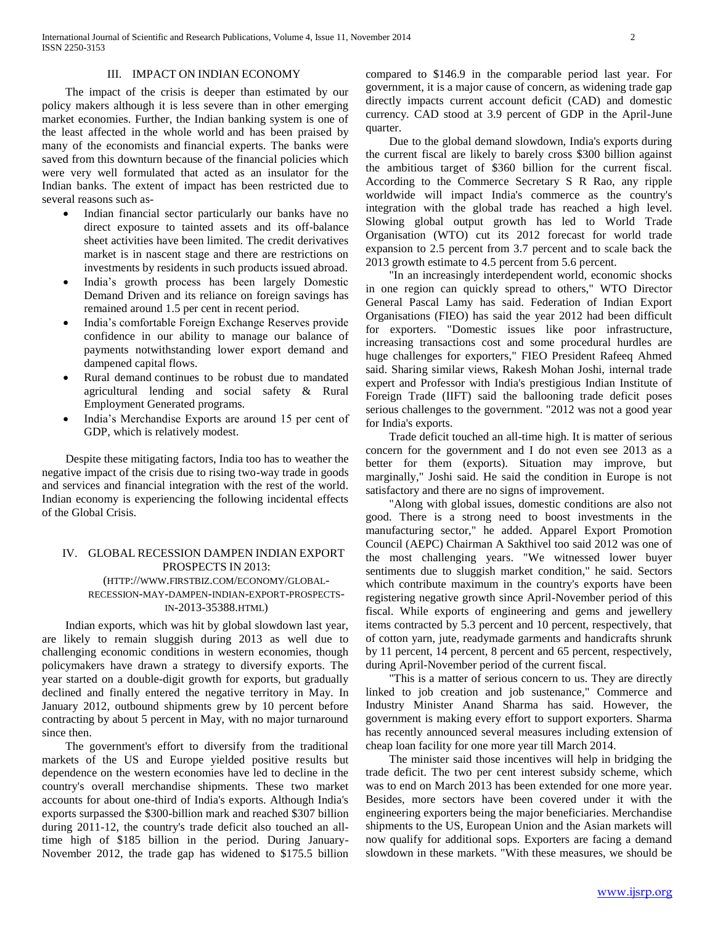### III. IMPACT ON INDIAN ECONOMY

 The impact of the crisis is deeper than estimated by our policy makers although it is less severe than in other emerging market economies. Further, the Indian banking system is one of the least affected in the whole world and has been praised by many of the economists and financial experts. The banks were saved from this downturn because of the financial policies which were very well formulated that acted as an insulator for the Indian banks. The extent of impact has been restricted due to several reasons such as-

- Indian financial sector particularly our banks have no direct exposure to tainted assets and its off-balance sheet activities have been limited. The credit derivatives market is in nascent stage and there are restrictions on investments by residents in such products issued abroad.
- India's growth process has been largely Domestic Demand Driven and its reliance on foreign savings has remained around 1.5 per cent in recent period.
- India's comfortable Foreign Exchange Reserves provide confidence in our ability to manage our balance of payments notwithstanding lower export demand and dampened capital flows.
- Rural demand continues to be robust due to mandated agricultural lending and social safety & Rural Employment Generated programs.
- India's Merchandise Exports are around 15 per cent of GDP, which is relatively modest.

 Despite these mitigating factors, India too has to weather the negative impact of the crisis due to rising two-way trade in goods and services and financial integration with the rest of the world. Indian economy is experiencing the following incidental effects of the Global Crisis.

## IV. GLOBAL RECESSION DAMPEN INDIAN EXPORT PROSPECTS IN 2013: (HTTP://WWW.FIRSTBIZ.COM/ECONOMY/GLOBAL-RECESSION-MAY-DAMPEN-INDIAN-EXPORT-PROSPECTS-IN-2013-35388.HTML)

 Indian exports, which was hit by global slowdown last year, are likely to remain sluggish during 2013 as well due to challenging economic conditions in western economies, though policymakers have drawn a strategy to diversify exports. The year started on a double-digit growth for exports, but gradually declined and finally entered the negative territory in May. In January 2012, outbound shipments grew by 10 percent before contracting by about 5 percent in May, with no major turnaround since then.

 The government's effort to diversify from the traditional markets of the US and Europe yielded positive results but dependence on the western economies have led to decline in the country's overall merchandise shipments. These two market accounts for about one-third of India's exports. Although India's exports surpassed the \$300-billion mark and reached \$307 billion during 2011-12, the country's trade deficit also touched an alltime high of \$185 billion in the period. During January-November 2012, the trade gap has widened to \$175.5 billion

compared to \$146.9 in the comparable period last year. For government, it is a major cause of concern, as widening trade gap directly impacts current account deficit (CAD) and domestic currency. CAD stood at 3.9 percent of GDP in the April-June quarter.

 Due to the global demand slowdown, India's exports during the current fiscal are likely to barely cross \$300 billion against the ambitious target of \$360 billion for the current fiscal. According to the Commerce Secretary S R Rao, any ripple worldwide will impact India's commerce as the country's integration with the global trade has reached a high level. Slowing global output growth has led to World Trade Organisation (WTO) cut its 2012 forecast for world trade expansion to 2.5 percent from 3.7 percent and to scale back the 2013 growth estimate to 4.5 percent from 5.6 percent.

 "In an increasingly interdependent world, economic shocks in one region can quickly spread to others," WTO Director General Pascal Lamy has said. Federation of Indian Export Organisations (FIEO) has said the year 2012 had been difficult for exporters. "Domestic issues like poor infrastructure, increasing transactions cost and some procedural hurdles are huge challenges for exporters," FIEO President Rafeeq Ahmed said. Sharing similar views, Rakesh Mohan Joshi, internal trade expert and Professor with India's prestigious Indian Institute of Foreign Trade (IIFT) said the ballooning trade deficit poses serious challenges to the government. "2012 was not a good year for India's exports.

 Trade deficit touched an all-time high. It is matter of serious concern for the government and I do not even see 2013 as a better for them (exports). Situation may improve, but marginally," Joshi said. He said the condition in Europe is not satisfactory and there are no signs of improvement.

 "Along with global issues, domestic conditions are also not good. There is a strong need to boost investments in the manufacturing sector," he added. Apparel Export Promotion Council (AEPC) Chairman A Sakthivel too said 2012 was one of the most challenging years. "We witnessed lower buyer sentiments due to sluggish market condition," he said. Sectors which contribute maximum in the country's exports have been registering negative growth since April-November period of this fiscal. While exports of engineering and gems and jewellery items contracted by 5.3 percent and 10 percent, respectively, that of cotton yarn, jute, readymade garments and handicrafts shrunk by 11 percent, 14 percent, 8 percent and 65 percent, respectively, during April-November period of the current fiscal.

 "This is a matter of serious concern to us. They are directly linked to job creation and job sustenance," Commerce and Industry Minister Anand Sharma has said. However, the government is making every effort to support exporters. Sharma has recently announced several measures including extension of cheap loan facility for one more year till March 2014.

 The minister said those incentives will help in bridging the trade deficit. The two per cent interest subsidy scheme, which was to end on March 2013 has been extended for one more year. Besides, more sectors have been covered under it with the engineering exporters being the major beneficiaries. Merchandise shipments to the US, European Union and the Asian markets will now qualify for additional sops. Exporters are facing a demand slowdown in these markets. "With these measures, we should be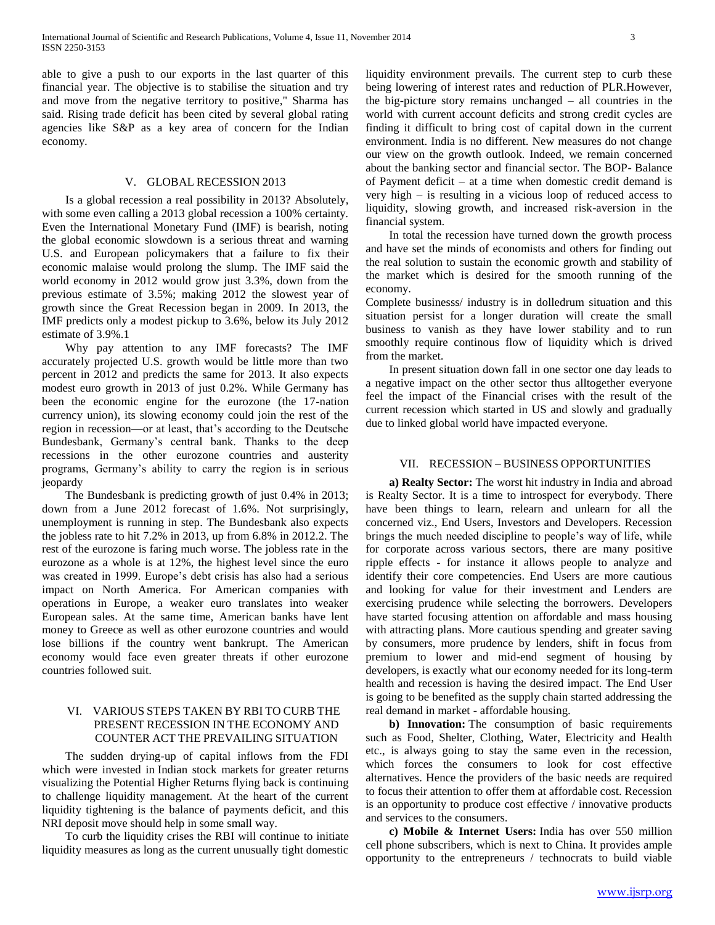able to give a push to our exports in the last quarter of this financial year. The objective is to stabilise the situation and try and move from the negative territory to positive," Sharma has said. Rising trade deficit has been cited by several global rating agencies like S&P as a key area of concern for the Indian economy.

#### V. GLOBAL RECESSION 2013

 Is a global recession a real possibility in 2013? Absolutely, with some even calling a 2013 global recession a 100% certainty. Even the International Monetary Fund (IMF) is bearish, noting the global economic slowdown is a serious threat and warning U.S. and European policymakers that a failure to fix their economic malaise would prolong the slump. The IMF said the world economy in 2012 would grow just 3.3%, down from the previous estimate of 3.5%; making 2012 the slowest year of growth since the Great Recession began in 2009. In 2013, the IMF predicts only a modest pickup to 3.6%, below its July 2012 estimate of 3.9%.1

 Why pay attention to any IMF forecasts? The IMF accurately projected U.S. growth would be little more than two percent in 2012 and predicts the same for 2013. It also expects modest euro growth in 2013 of just 0.2%. While Germany has been the economic engine for the eurozone (the 17-nation currency union), its slowing economy could join the rest of the region in recession—or at least, that's according to the Deutsche Bundesbank, Germany's central bank. Thanks to the deep recessions in the other eurozone countries and austerity programs, Germany's ability to carry the region is in serious jeopardy

 The Bundesbank is predicting growth of just 0.4% in 2013; down from a June 2012 forecast of 1.6%. Not surprisingly, unemployment is running in step. The Bundesbank also expects the jobless rate to hit 7.2% in 2013, up from 6.8% in 2012.2. The rest of the eurozone is faring much worse. The jobless rate in the eurozone as a whole is at 12%, the highest level since the euro was created in 1999. Europe's debt crisis has also had a serious impact on North America. For American companies with operations in Europe, a weaker euro translates into weaker European sales. At the same time, American banks have lent money to Greece as well as other eurozone countries and would lose billions if the country went bankrupt. The American economy would face even greater threats if other eurozone countries followed suit.

## VI. VARIOUS STEPS TAKEN BY RBI TO CURB THE PRESENT RECESSION IN THE ECONOMY AND COUNTER ACT THE PREVAILING SITUATION

 The sudden drying-up of capital inflows from the FDI which were invested in Indian stock markets for greater returns visualizing the Potential Higher Returns flying back is continuing to challenge liquidity management. At the heart of the current liquidity tightening is the balance of payments deficit, and this NRI deposit move should help in some small way.

 To curb the liquidity crises the RBI will continue to initiate liquidity measures as long as the current unusually tight domestic liquidity environment prevails. The current step to curb these being lowering of interest rates and reduction of PLR.However, the big-picture story remains unchanged – all countries in the world with current account deficits and strong credit cycles are finding it difficult to bring cost of capital down in the current environment. India is no different. New measures do not change our view on the growth outlook. Indeed, we remain concerned about the banking sector and financial sector. The BOP- Balance of Payment deficit – at a time when domestic credit demand is very high – is resulting in a vicious loop of reduced access to liquidity, slowing growth, and increased risk-aversion in the financial system.

 In total the recession have turned down the growth process and have set the minds of economists and others for finding out the real solution to sustain the economic growth and stability of the market which is desired for the smooth running of the economy.

Complete businesss/ industry is in dolledrum situation and this situation persist for a longer duration will create the small business to vanish as they have lower stability and to run smoothly require continous flow of liquidity which is drived from the market.

 In present situation down fall in one sector one day leads to a negative impact on the other sector thus alltogether everyone feel the impact of the Financial crises with the result of the current recession which started in US and slowly and gradually due to linked global world have impacted everyone.

## VII. RECESSION – BUSINESS OPPORTUNITIES

 **a) Realty Sector:** The worst hit industry in India and abroad is Realty Sector. It is a time to introspect for everybody. There have been things to learn, relearn and unlearn for all the concerned viz., End Users, Investors and Developers. Recession brings the much needed discipline to people's way of life, while for corporate across various sectors, there are many positive ripple effects - for instance it allows people to analyze and identify their core competencies. End Users are more cautious and looking for value for their investment and Lenders are exercising prudence while selecting the borrowers. Developers have started focusing attention on affordable and mass housing with attracting plans. More cautious spending and greater saving by consumers, more prudence by lenders, shift in focus from premium to lower and mid-end segment of housing by developers, is exactly what our economy needed for its long-term health and recession is having the desired impact. The End User is going to be benefited as the supply chain started addressing the real demand in market - affordable housing.

 **b) Innovation:** The consumption of basic requirements such as Food, Shelter, Clothing, Water, Electricity and Health etc., is always going to stay the same even in the recession, which forces the consumers to look for cost effective alternatives. Hence the providers of the basic needs are required to focus their attention to offer them at affordable cost. Recession is an opportunity to produce cost effective / innovative products and services to the consumers.

 **c) Mobile & Internet Users:** India has over 550 million cell phone subscribers, which is next to China. It provides ample opportunity to the entrepreneurs / technocrats to build viable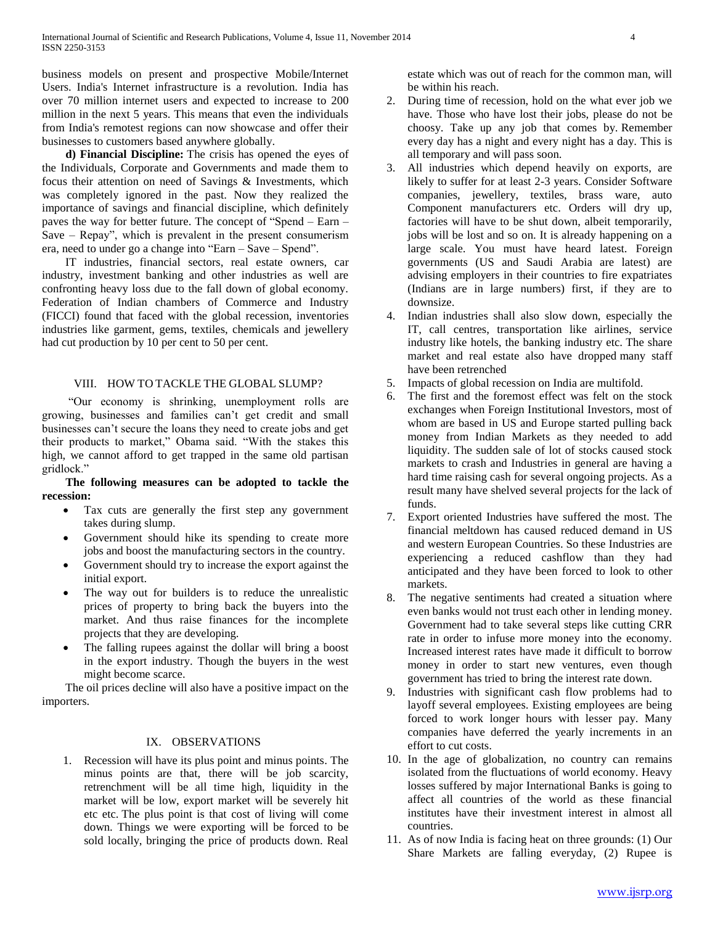business models on present and prospective Mobile/Internet Users. India's Internet infrastructure is a revolution. India has over 70 million internet users and expected to increase to 200 million in the next 5 years. This means that even the individuals from India's remotest regions can now showcase and offer their businesses to customers based anywhere globally.

 **d) Financial Discipline:** The crisis has opened the eyes of the Individuals, Corporate and Governments and made them to focus their attention on need of Savings & Investments, which was completely ignored in the past. Now they realized the importance of savings and financial discipline, which definitely paves the way for better future. The concept of "Spend –  $Earn -$ Save – Repay", which is prevalent in the present consumerism era, need to under go a change into "Earn – Save – Spend".

 IT industries, financial sectors, real estate owners, car industry, investment banking and other industries as well are confronting heavy loss due to the fall down of global economy. Federation of Indian chambers of Commerce and Industry (FICCI) found that faced with the global recession, inventories industries like garment, gems, textiles, chemicals and jewellery had cut production by 10 per cent to 50 per cent.

## VIII. HOW TO TACKLE THE GLOBAL SLUMP?

 ―Our economy is shrinking, unemployment rolls are growing, businesses and families can't get credit and small businesses can't secure the loans they need to create jobs and get their products to market," Obama said. "With the stakes this high, we cannot afford to get trapped in the same old partisan gridlock."

 **The following measures can be adopted to tackle the recession:**

- Tax cuts are generally the first step any government takes during slump.
- Government should hike its spending to create more jobs and boost the manufacturing sectors in the country.
- Government should try to increase the export against the initial export.
- The way out for builders is to reduce the unrealistic prices of property to bring back the buyers into the market. And thus raise finances for the incomplete projects that they are developing.
- The falling rupees against the dollar will bring a boost in the export industry. Though the buyers in the west might become scarce.

 The oil prices decline will also have a positive impact on the importers.

# IX. OBSERVATIONS

1. Recession will have its plus point and minus points. The minus points are that, there will be job scarcity, retrenchment will be all time high, liquidity in the market will be low, export market will be severely hit etc etc. The plus point is that cost of living will come down. Things we were exporting will be forced to be sold locally, bringing the price of products down. Real estate which was out of reach for the common man, will be within his reach.

- 2. During time of recession, hold on the what ever job we have. Those who have lost their jobs, please do not be choosy. Take up any job that comes by. Remember every day has a night and every night has a day. This is all temporary and will pass soon.
- 3. All industries which depend heavily on exports, are likely to suffer for at least 2-3 years. Consider Software companies, jewellery, textiles, brass ware, auto Component manufacturers etc. Orders will dry up, factories will have to be shut down, albeit temporarily, jobs will be lost and so on. It is already happening on a large scale. You must have heard latest. Foreign governments (US and Saudi Arabia are latest) are advising employers in their countries to fire expatriates (Indians are in large numbers) first, if they are to downsize.
- 4. Indian industries shall also slow down, especially the IT, call centres, transportation like airlines, service industry like hotels, the banking industry etc. The share market and real estate also have dropped many staff have been retrenched
- 5. Impacts of global recession on India are multifold.
- 6. The first and the foremost effect was felt on the stock exchanges when Foreign Institutional Investors, most of whom are based in US and Europe started pulling back money from Indian Markets as they needed to add liquidity. The sudden sale of lot of stocks caused stock markets to crash and Industries in general are having a hard time raising cash for several ongoing projects. As a result many have shelved several projects for the lack of funds.
- 7. Export oriented Industries have suffered the most. The financial meltdown has caused reduced demand in US and western European Countries. So these Industries are experiencing a reduced cashflow than they had anticipated and they have been forced to look to other markets.
- 8. The negative sentiments had created a situation where even banks would not trust each other in lending money. Government had to take several steps like cutting CRR rate in order to infuse more money into the economy. Increased interest rates have made it difficult to borrow money in order to start new ventures, even though government has tried to bring the interest rate down.
- 9. Industries with significant cash flow problems had to layoff several employees. Existing employees are being forced to work longer hours with lesser pay. Many companies have deferred the yearly increments in an effort to cut costs.
- 10. In the age of globalization, no country can remains isolated from the fluctuations of world economy. Heavy losses suffered by major International Banks is going to affect all countries of the world as these financial institutes have their investment interest in almost all countries.
- 11. As of now India is facing heat on three grounds: (1) Our Share Markets are falling everyday, (2) Rupee is